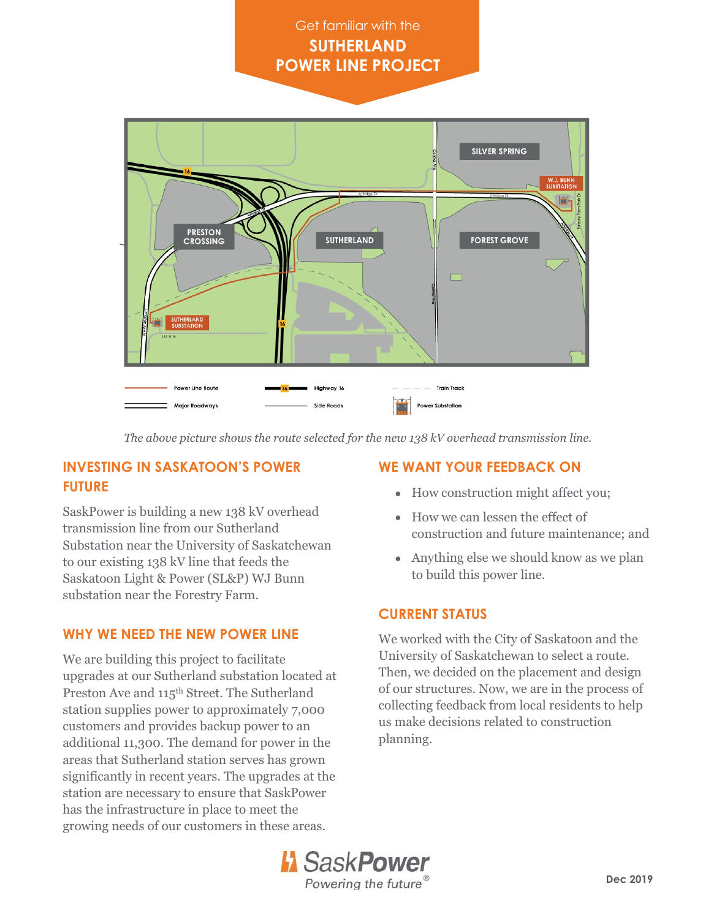# Get familiar with the **SUTHERLAND POWER LINE PROJECT**



*The above picture shows the route selected for the new 138 kV overhead transmission line.*

## **INVESTING IN SASKATOON'S POWER FUTURE**

SaskPower is building a new 138 kV overhead transmission line from our Sutherland Substation near the University of Saskatchewan to our existing 138 kV line that feeds the Saskatoon Light & Power (SL&P) WJ Bunn substation near the Forestry Farm.

### **WHY WE NEED THE NEW POWER LINE**

We are building this project to facilitate upgrades at our Sutherland substation located at Preston Ave and 115<sup>th</sup> Street. The Sutherland station supplies power to approximately 7,000 customers and provides backup power to an additional 11,300. The demand for power in the areas that Sutherland station serves has grown significantly in recent years. The upgrades at the station are necessary to ensure that SaskPower has the infrastructure in place to meet the growing needs of our customers in these areas.

## **WE WANT YOUR FEEDBACK ON**

- How construction might affect you;
- How we can lessen the effect of construction and future maintenance; and
- Anything else we should know as we plan to build this power line.

### **CURRENT STATUS**

We worked with the City of Saskatoon and the University of Saskatchewan to select a route. Then, we decided on the placement and design of our structures. Now, we are in the process of collecting feedback from local residents to help us make decisions related to construction planning.